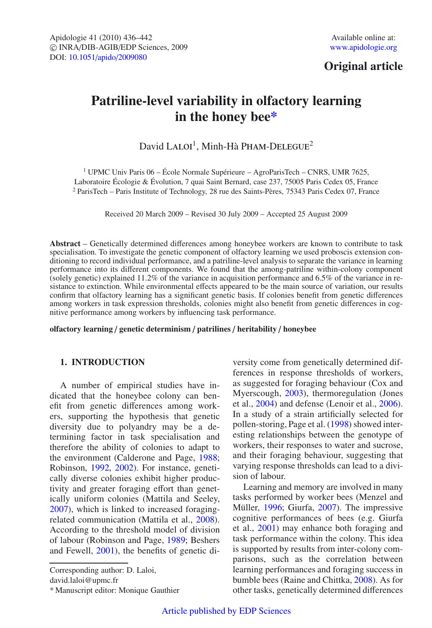# **Original article**

# **Patriline-level variability in olfactory learning in the honey bee\***

David LALOI<sup>1</sup>, Minh-Hà PHAM-DELEGUE<sup>2</sup>

<sup>1</sup> UPMC Univ Paris  $06 - \text{École Normale Supérieure} - \text{AgroParisTechn} - \text{CNRS}$ , UMR 7625, Laboratoire Écologie & Évolution, 7 quai Saint Bernard, case 237, 75005 Paris Cedex 05, France <sup>2</sup> ParisTech – Paris Institute of Technology, 28 rue des Saints-Pères, 75343 Paris Cedex 07, France

Received 20 March 2009 – Revised 30 July 2009 – Accepted 25 August 2009

**Abstract** – Genetically determined differences among honeybee workers are known to contribute to task specialisation. To investigate the genetic component of olfactory learning we used proboscis extension conditioning to record individual performance, and a patriline-level analysis to separate the variance in learning performance into its different components. We found that the among-patriline within-colony component (solely genetic) explained 11.2% of the variance in acquisition performance and 6.5% of the variance in resistance to extinction. While environmental effects appeared to be the main source of variation, our results confirm that olfactory learning has a significant genetic basis. If colonies benefit from genetic differences among workers in task expression thresholds, colonies might also benefit from genetic differences in cognitive performance among workers by influencing task performance.

**olfactory learning** / **genetic determinism** / **patrilines** / **heritability** / **honeybee**

## **1. INTRODUCTION**

A number of empirical studies have indicated that the honeybee colony can benefit from genetic differences among workers, supporting the hypothesis that genetic diversity due to polyandry may be a determining factor in task specialisation and therefore the ability of colonies to adapt to the environment (Calderone and Page, [1988;](#page-5-0) Robinson, [1992](#page-6-0), [2002\)](#page-6-1). For instance, genetically diverse colonies exhibit higher productivity and greater foraging effort than genetically uniform colonies (Mattila and Seeley, [2007\)](#page-6-2), which is linked to increased foragingrelated communication (Mattila et al., [2008\)](#page-6-3). According to the threshold model of division of labour (Robinson and Page, [1989;](#page-6-4) Beshers and Fewell, [2001](#page-5-1)), the benefits of genetic di-

Corresponding author: D. Laloi,

david.laloi@upmc.fr

versity come from genetically determined differences in response thresholds of workers, as suggested for foraging behaviour (Cox and Myerscough, [2003\)](#page-5-2), thermoregulation (Jones et al., [2004\)](#page-6-5) and defense (Lenoir et al., [2006\)](#page-6-6). In a study of a strain artificially selected for pollen-storing, Page et al. [\(1998\)](#page-6-7) showed interesting relationships between the genotype of workers, their responses to water and sucrose, and their foraging behaviour, suggesting that varying response thresholds can lead to a division of labour.

Learning and memory are involved in many tasks performed by worker bees (Menzel and Müller, [1996;](#page-6-8) Giurfa, [2007\)](#page-6-9). The impressive cognitive performances of bees (e.g. Giurfa et al., [2001](#page-6-10)) may enhance both foraging and task performance within the colony. This idea is supported by results from inter-colony comparisons, such as the correlation between learning performances and foraging success in bumble bees (Raine and Chittka, [2008\)](#page-6-11). As for other tasks, genetically determined differences

<sup>\*</sup> Manuscript editor: Monique Gauthier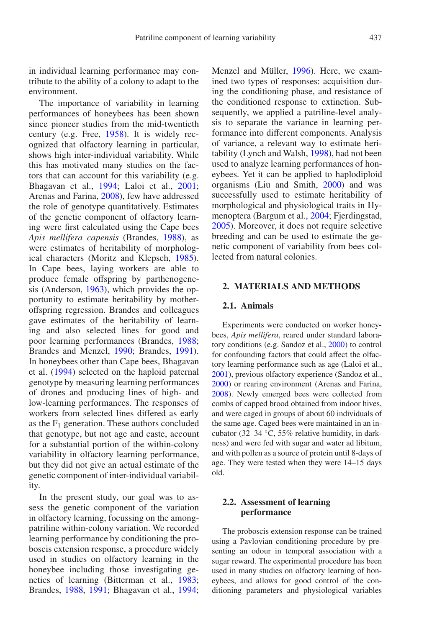in individual learning performance may contribute to the ability of a colony to adapt to the environment.

The importance of variability in learning performances of honeybees has been shown since pioneer studies from the mid-twentieth century (e.g. Free, [1958](#page-6-12)). It is widely recognized that olfactory learning in particular, shows high inter-individual variability. While this has motivated many studies on the factors that can account for this variability (e.g. Bhagavan et al., [1994;](#page-5-3) Laloi et al., [2001;](#page-6-13) Arenas and Farina, [2008\)](#page-5-4), few have addressed the role of genotype quantitatively. Estimates of the genetic component of olfactory learning were first calculated using the Cape bees *Apis mellifera capensis* (Brandes, [1988\)](#page-5-5), as were estimates of heritability of morphological characters (Moritz and Klepsch, [1985\)](#page-6-14). In Cape bees, laying workers are able to produce female offspring by parthenogenesis (Anderson, [1963\)](#page-5-6), which provides the opportunity to estimate heritability by motheroffspring regression. Brandes and colleagues gave estimates of the heritability of learning and also selected lines for good and poor learning performances (Brandes, [1988;](#page-5-5) Brandes and Menzel, [1990;](#page-5-7) Brandes, [1991\)](#page-5-8). In honeybees other than Cape bees, Bhagavan et al. [\(1994\)](#page-5-3) selected on the haploid paternal genotype by measuring learning performances of drones and producing lines of high- and low-learning performances. The responses of workers from selected lines differed as early as the  $F_1$  generation. These authors concluded that genotype, but not age and caste, account for a substantial portion of the within-colony variability in olfactory learning performance, but they did not give an actual estimate of the genetic component of inter-individual variability.

In the present study, our goal was to assess the genetic component of the variation in olfactory learning, focussing on the amongpatriline within-colony variation. We recorded learning performance by conditioning the proboscis extension response, a procedure widely used in studies on olfactory learning in the honeybee including those investigating genetics of learning (Bitterman et al., [1983;](#page-5-9) Brandes, [1988](#page-5-5), [1991](#page-5-8); Bhagavan et al., [1994;](#page-5-3) Menzel and Müller, [1996\)](#page-6-8). Here, we examined two types of responses: acquisition during the conditioning phase, and resistance of the conditioned response to extinction. Subsequently, we applied a patriline-level analysis to separate the variance in learning performance into different components. Analysis of variance, a relevant way to estimate heritability (Lynch and Walsh, [1998\)](#page-6-15), had not been used to analyze learning performances of honeybees. Yet it can be applied to haplodiploid organisms (Liu and Smith, [2000\)](#page-6-16) and was successfully used to estimate heritability of morphological and physiological traits in Hymenoptera (Bargum et al., [2004;](#page-5-10) Fjerdingstad, [2005\)](#page-6-17). Moreover, it does not require selective breeding and can be used to estimate the genetic component of variability from bees collected from natural colonies.

#### **2. MATERIALS AND METHODS**

#### **2.1. Animals**

Experiments were conducted on worker honeybees, *Apis mellifera*, reared under standard laboratory conditions (e.g. Sandoz et al., [2000](#page-6-18)) to control for confounding factors that could affect the olfactory learning performance such as age (Laloi et al., [2001](#page-6-13)), previous olfactory experience (Sandoz et al., [2000](#page-6-18)) or rearing environment (Arenas and Farina, [2008](#page-5-4)). Newly emerged bees were collected from combs of capped brood obtained from indoor hives, and were caged in groups of about 60 individuals of the same age. Caged bees were maintained in an incubator (32–34 ◦C, 55% relative humidity, in darkness) and were fed with sugar and water ad libitum, and with pollen as a source of protein until 8-days of age. They were tested when they were 14–15 days old.

# **2.2. Assessment of learning performance**

The proboscis extension response can be trained using a Pavlovian conditioning procedure by presenting an odour in temporal association with a sugar reward. The experimental procedure has been used in many studies on olfactory learning of honeybees, and allows for good control of the conditioning parameters and physiological variables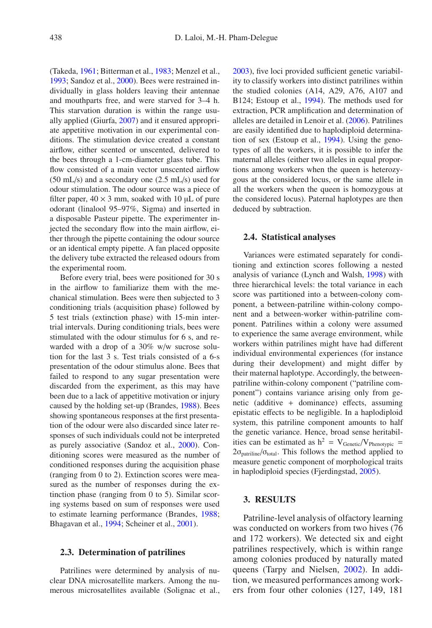(Takeda, [1961](#page-6-19); Bitterman et al., [1983;](#page-5-9) Menzel et al., [1993;](#page-6-20) Sandoz et al., [2000](#page-6-18)). Bees were restrained individually in glass holders leaving their antennae and mouthparts free, and were starved for 3–4 h. This starvation duration is within the range usually applied (Giurfa, [2007\)](#page-6-9) and it ensured appropriate appetitive motivation in our experimental conditions. The stimulation device created a constant airflow, either scented or unscented, delivered to the bees through a 1-cm-diameter glass tube. This flow consisted of a main vector unscented airflow (50 mL/s) and a secondary one (2.5 mL/s) used for odour stimulation. The odour source was a piece of filter paper,  $40 \times 3$  mm, soaked with 10  $\mu$ L of pure odorant (linalool 95–97%, Sigma) and inserted in a disposable Pasteur pipette. The experimenter injected the secondary flow into the main airflow, either through the pipette containing the odour source or an identical empty pipette. A fan placed opposite the delivery tube extracted the released odours from the experimental room.

Before every trial, bees were positioned for 30 s in the airflow to familiarize them with the mechanical stimulation. Bees were then subjected to 3 conditioning trials (acquisition phase) followed by 5 test trials (extinction phase) with 15-min intertrial intervals. During conditioning trials, bees were stimulated with the odour stimulus for 6 s, and rewarded with a drop of a 30% w/w sucrose solution for the last 3 s. Test trials consisted of a 6-s presentation of the odour stimulus alone. Bees that failed to respond to any sugar presentation were discarded from the experiment, as this may have been due to a lack of appetitive motivation or injury caused by the holding set-up (Brandes, [1988](#page-5-5)). Bees showing spontaneous responses at the first presentation of the odour were also discarded since later responses of such individuals could not be interpreted as purely associative (Sandoz et al., [2000](#page-6-18)). Conditioning scores were measured as the number of conditioned responses during the acquisition phase (ranging from 0 to 2). Extinction scores were measured as the number of responses during the extinction phase (ranging from 0 to 5). Similar scoring systems based on sum of responses were used to estimate learning performance (Brandes, [1988](#page-5-5); Bhagavan et al., [1994](#page-5-3); Scheiner et al., [2001](#page-6-21)).

#### **2.3. Determination of patrilines**

Patrilines were determined by analysis of nuclear DNA microsatellite markers. Among the numerous microsatellites available (Solignac et al., [2003](#page-6-22)), five loci provided sufficient genetic variability to classify workers into distinct patrilines within the studied colonies (A14, A29, A76, A107 and B124; Estoup et al., [1994](#page-6-23)). The methods used for extraction, PCR amplification and determination of alleles are detailed in Lenoir et al. [\(2006](#page-6-6)). Patrilines are easily identified due to haplodiploid determination of sex (Estoup et al., [1994](#page-6-23)). Using the genotypes of all the workers, it is possible to infer the maternal alleles (either two alleles in equal proportions among workers when the queen is heterozygous at the considered locus, or the same allele in all the workers when the queen is homozygous at the considered locus). Paternal haplotypes are then deduced by subtraction.

#### **2.4. Statistical analyses**

Variances were estimated separately for conditioning and extinction scores following a nested analysis of variance (Lynch and Walsh, [1998](#page-6-15)) with three hierarchical levels: the total variance in each score was partitioned into a between-colony component, a between-patriline within-colony component and a between-worker within-patriline component. Patrilines within a colony were assumed to experience the same average environment, while workers within patrilines might have had different individual environmental experiences (for instance during their development) and might differ by their maternal haplotype. Accordingly, the betweenpatriline within-colony component ("patriline component") contains variance arising only from genetic (additive + dominance) effects, assuming epistatic effects to be negligible. In a haplodiploid system, this patriline component amounts to half the genetic variance. Hence, broad sense heritabilities can be estimated as  $h^2 = V_{Genetic}/V_{Phenotypic}$  =  $2\sigma_{\text{partiline}}/\sigma_{\text{total}}$ . This follows the method applied to measure genetic component of morphological traits in haplodiploid species (Fjerdingstad, [2005](#page-6-17)).

#### **3. RESULTS**

Patriline-level analysis of olfactory learning was conducted on workers from two hives (76 and 172 workers). We detected six and eight patrilines respectively, which is within range among colonies produced by naturally mated queens (Tarpy and Nielsen, [2002\)](#page-6-24). In addition, we measured performances among workers from four other colonies (127, 149, 181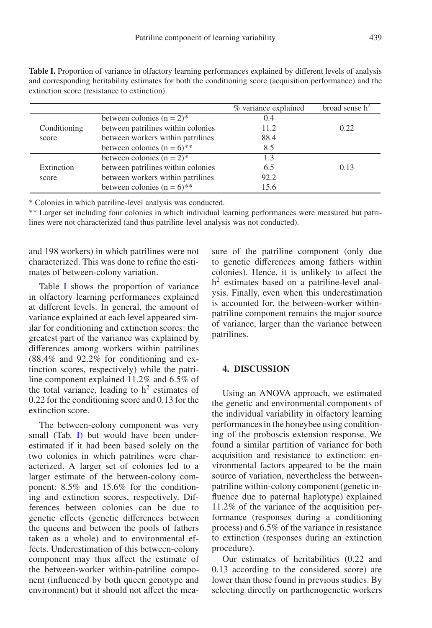|                       |                                    | % variance explained | broad sense h <sup>4</sup> |
|-----------------------|------------------------------------|----------------------|----------------------------|
| Conditioning<br>score | between colonies $(n = 2)^*$       | 0.4                  |                            |
|                       | between patrilines within colonies | 11.2                 | 0.22.                      |
|                       | between workers within patrilines  | 88.4                 |                            |
|                       | between colonies $(n = 6)$ **      | 8.5                  |                            |
| Extinction<br>score   | between colonies $(n = 2)^*$       | 1.3                  |                            |
|                       | between patrilines within colonies | 6.5                  | 0.13                       |
|                       | between workers within patrilines  | 92.2                 |                            |
|                       | between colonies $(n = 6)$ **      | 15.6                 |                            |

<span id="page-3-0"></span>**Table I.** Proportion of variance in olfactory learning performances explained by different levels of analysis and corresponding heritability estimates for both the conditioning score (acquisition performance) and the extinction score (resistance to extinction).

\* Colonies in which patriline-level analysis was conducted.

\*\* Larger set including four colonies in which individual learning performances were measured but patrilines were not characterized (and thus patriline-level analysis was not conducted).

and 198 workers) in which patrilines were not characterized. This was done to refine the estimates of between-colony variation.

Table [I](#page-3-0) shows the proportion of variance in olfactory learning performances explained at different levels. In general, the amount of variance explained at each level appeared similar for conditioning and extinction scores: the greatest part of the variance was explained by differences among workers within patrilines (88.4% and 92.2% for conditioning and extinction scores, respectively) while the patriline component explained 11.2% and 6.5% of the total variance, leading to  $h^2$  estimates of 0.22 for the conditioning score and 0.13 for the extinction score.

The between-colony component was very small (Tab. [I\)](#page-3-0) but would have been underestimated if it had been based solely on the two colonies in which patrilines were characterized. A larger set of colonies led to a larger estimate of the between-colony component: 8.5% and 15.6% for the conditioning and extinction scores, respectively. Differences between colonies can be due to genetic effects (genetic differences between the queens and between the pools of fathers taken as a whole) and to environmental effects. Underestimation of this between-colony component may thus affect the estimate of the between-worker within-patriline component (influenced by both queen genotype and environment) but it should not affect the measure of the patriline component (only due to genetic differences among fathers within colonies). Hence, it is unlikely to affect the  $h<sup>2</sup>$  estimates based on a patriline-level analysis. Finally, even when this underestimation is accounted for, the between-worker withinpatriline component remains the major source of variance, larger than the variance between patrilines.

# **4. DISCUSSION**

Using an ANOVA approach, we estimated the genetic and environmental components of the individual variability in olfactory learning performances in the honeybee using conditioning of the proboscis extension response. We found a similar partition of variance for both acquisition and resistance to extinction: environmental factors appeared to be the main source of variation, nevertheless the betweenpatriline within-colony component (genetic influence due to paternal haplotype) explained 11.2% of the variance of the acquisition performance (responses during a conditioning process) and 6.5% of the variance in resistance to extinction (responses during an extinction procedure).

Our estimates of heritabilities (0.22 and 0.13 according to the considered score) are lower than those found in previous studies. By selecting directly on parthenogenetic workers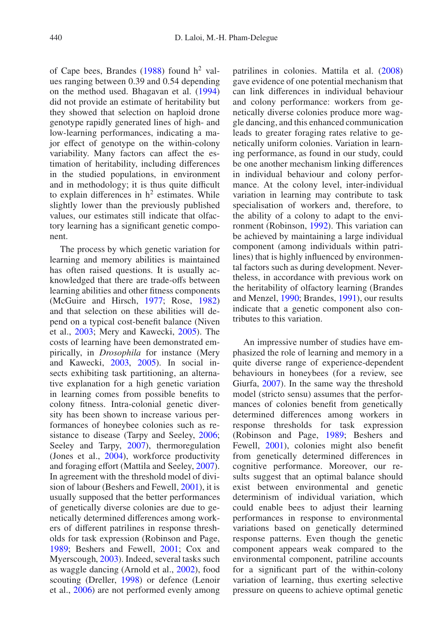of Cape bees, Brandes  $(1988)$  $(1988)$  found  $h<sup>2</sup>$  values ranging between 0.39 and 0.54 depending on the method used. Bhagavan et al. [\(1994\)](#page-5-3) did not provide an estimate of heritability but they showed that selection on haploid drone genotype rapidly generated lines of high- and low-learning performances, indicating a major effect of genotype on the within-colony variability. Many factors can affect the estimation of heritability, including differences in the studied populations, in environment and in methodology; it is thus quite difficult to explain differences in  $h<sup>2</sup>$  estimates. While slightly lower than the previously published values, our estimates still indicate that olfactory learning has a significant genetic component.

The process by which genetic variation for learning and memory abilities is maintained has often raised questions. It is usually acknowledged that there are trade-offs between learning abilities and other fitness components (McGuire and Hirsch, [1977;](#page-6-25) Rose, [1982\)](#page-6-26) and that selection on these abilities will depend on a typical cost-benefit balance (Niven et al., [2003;](#page-6-27) Mery and Kawecki, [2005\)](#page-6-28). The costs of learning have been demonstrated empirically, in *Drosophila* for instance (Mery and Kawecki, [2003,](#page-6-29) [2005\)](#page-6-28). In social insects exhibiting task partitioning, an alternative explanation for a high genetic variation in learning comes from possible benefits to colony fitness. Intra-colonial genetic diversity has been shown to increase various performances of honeybee colonies such as resistance to disease (Tarpy and Seeley, [2006;](#page-6-30) Seeley and Tarpy, [2007\)](#page-6-31), thermoregulation (Jones et al., [2004](#page-6-5)), workforce productivity and foraging effort (Mattila and Seeley, [2007\)](#page-6-2). In agreement with the threshold model of division of labour (Beshers and Fewell, [2001\)](#page-5-1), it is usually supposed that the better performances of genetically diverse colonies are due to genetically determined differences among workers of different patrilines in response thresholds for task expression (Robinson and Page, [1989;](#page-6-4) Beshers and Fewell, [2001;](#page-5-1) Cox and Myerscough, [2003](#page-5-2)). Indeed, several tasks such as waggle dancing (Arnold et al., [2002](#page-5-11)), food scouting (Dreller, [1998\)](#page-6-32) or defence (Lenoir et al., [2006\)](#page-6-6) are not performed evenly among

patrilines in colonies. Mattila et al. [\(2008](#page-6-3)) gave evidence of one potential mechanism that can link differences in individual behaviour and colony performance: workers from genetically diverse colonies produce more waggle dancing, and this enhanced communication leads to greater foraging rates relative to genetically uniform colonies. Variation in learning performance, as found in our study, could be one another mechanism linking differences in individual behaviour and colony performance. At the colony level, inter-individual variation in learning may contribute to task specialisation of workers and, therefore, to the ability of a colony to adapt to the environment (Robinson, [1992](#page-6-0)). This variation can be achieved by maintaining a large individual component (among individuals within patrilines) that is highly influenced by environmental factors such as during development. Nevertheless, in accordance with previous work on the heritability of olfactory learning (Brandes and Menzel, [1990;](#page-5-7) Brandes, [1991\)](#page-5-8), our results indicate that a genetic component also contributes to this variation.

An impressive number of studies have emphasized the role of learning and memory in a quite diverse range of experience-dependent behaviours in honeybees (for a review, see Giurfa, [2007\)](#page-6-9). In the same way the threshold model (stricto sensu) assumes that the performances of colonies benefit from genetically determined differences among workers in response thresholds for task expression (Robinson and Page, [1989;](#page-6-4) Beshers and Fewell, [2001\)](#page-5-1), colonies might also benefit from genetically determined differences in cognitive performance. Moreover, our results suggest that an optimal balance should exist between environmental and genetic determinism of individual variation, which could enable bees to adjust their learning performances in response to environmental variations based on genetically determined response patterns. Even though the genetic component appears weak compared to the environmental component, patriline accounts for a significant part of the within-colony variation of learning, thus exerting selective pressure on queens to achieve optimal genetic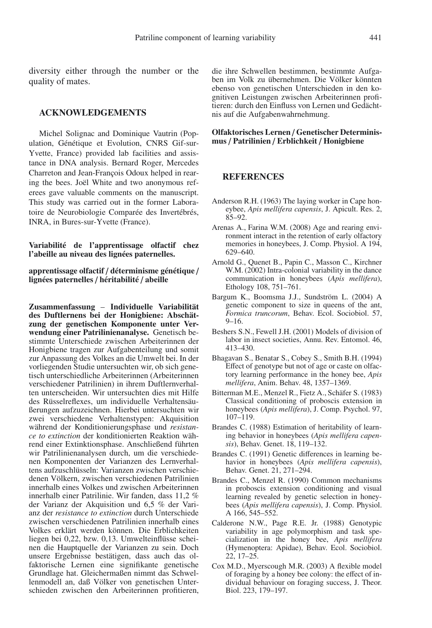diversity either through the number or the quality of mates.

#### **ACKNOWLEDGEMENTS**

Michel Solignac and Dominique Vautrin (Population, Génétique et Evolution, CNRS Gif-sur-Yvette, France) provided lab facilities and assistance in DNA analysis. Bernard Roger, Mercedes Charreton and Jean-François Odoux helped in rearing the bees. Joël White and two anonymous referees gave valuable comments on the manuscript. This study was carried out in the former Laboratoire de Neurobiologie Comparée des Invertébrés, INRA, in Bures-sur-Yvette (France).

**Variabilité de l'apprentissage olfactif chez l'abeille au niveau des lignées paternelles.**

**apprentissage olfactif** / **déterminisme génétique** / **lignées paternelles** / **héritabilité** / **abeille**

**Zusammenfassung** – **Individuelle Variabilität des Duftlernens bei der Honigbiene: Abschätzung der genetischen Komponente unter Verwendung einer Patrilinienanalyse.** Genetisch bestimmte Unterschiede zwischen Arbeiterinnen der Honigbiene tragen zur Aufgabenteilung und somit zur Anpassung des Volkes an die Umwelt bei. In der vorliegenden Studie untersuchten wir, ob sich genetisch unterschiedliche Arbeiterinnen (Arbeiterinnen verschiedener Patrilinien) in ihrem Duftlernverhalten unterscheiden. Wir untersuchten dies mit Hilfe des Rüsselreflexes, um individuelle Verhaltensäußerungen aufzuzeichnen. Hierbei untersuchten wir zwei verschiedene Verhaltenstypen: Akquisition während der Konditionierungsphase und *resistance to extinction* der konditionierten Reaktion während einer Extinktionsphase. Anschließend führten wir Patrilinienanalysen durch, um die verschiedenen Komponenten der Varianzen des Lernverhaltens aufzuschlüsseln: Varianzen zwischen verschiedenen Völkern, zwischen verschiedenen Patrilinien innerhalb eines Volkes und zwischen Arbeiterinnen innerhalb einer Patrilinie. Wir fanden, dass 11,2 % der Varianz der Akquisition und 6,5 % der Varianz der *resistance to extinction* durch Unterschiede zwischen verschiedenen Patrilinien innerhalb eines Volkes erklärt werden können. Die Erblichkeiten liegen bei 0,22, bzw. 0,13. Umwelteinflüsse scheinen die Hauptquelle der Varianzen zu sein. Doch unsere Ergebnisse bestätigen, dass auch das olfaktorische Lernen eine signifikante genetische Grundlage hat. Gleichermaßen nimmt das Schwellenmodell an, daß Völker von genetischen Unterschieden zwischen den Arbeiterinnen profitieren, die ihre Schwellen bestimmen, bestimmte Aufgaben im Volk zu übernehmen. Die Völker könnten ebenso von genetischen Unterschieden in den kognitiven Leistungen zwischen Arbeiterinnen profitieren: durch den Einfluss von Lernen und Gedächtnis auf die Aufgabenwahrnehmung.

# **Olfaktorisches Lernen** / **Genetischer Determinismus** / **Patrilinien** / **Erblichkeit** / **Honigbiene**

# **REFERENCES**

- <span id="page-5-6"></span>Anderson R.H. (1963) The laying worker in Cape honeybee, *Apis mellifera capensis*, J. Apicult. Res. 2, 85–92.
- <span id="page-5-4"></span>Arenas A., Farina W.M. (2008) Age and rearing environment interact in the retention of early olfactory memories in honeybees, J. Comp. Physiol. A 194, 629–640.
- <span id="page-5-11"></span>Arnold G., Quenet B., Papin C., Masson C., Kirchner W.M. (2002) Intra-colonial variability in the dance communication in honeybees (*Apis mellifera*), Ethology 108, 751–761.
- <span id="page-5-10"></span>Bargum K., Boomsma J.J., Sundström L. (2004) A genetic component to size in queens of the ant, *Formica truncorum*, Behav. Ecol. Sociobiol. 57, 9–16.
- <span id="page-5-1"></span>Beshers S.N., Fewell J.H. (2001) Models of division of labor in insect societies, Annu. Rev. Entomol. 46, 413–430.
- <span id="page-5-3"></span>Bhagavan S., Benatar S., Cobey S., Smith B.H. (1994) Effect of genotype but not of age or caste on olfactory learning performance in the honey bee, *Apis mellifera*, Anim. Behav. 48, 1357–1369.
- <span id="page-5-9"></span>Bitterman M.E., Menzel R., Fietz A., Schäfer S. (1983) Classical conditioning of proboscis extension in honeybees (*Apis mellifera*), J. Comp. Psychol. 97, 107–119.
- <span id="page-5-5"></span>Brandes C. (1988) Estimation of heritability of learning behavior in honeybees (*Apis mellifera capensis*), Behav. Genet. 18, 119–132.
- <span id="page-5-8"></span>Brandes C. (1991) Genetic differences in learning behavior in honeybees (*Apis mellifera capensis*), Behav. Genet. 21, 271–294.
- <span id="page-5-7"></span>Brandes C., Menzel R. (1990) Common mechanisms in proboscis extension conditioning and visual learning revealed by genetic selection in honeybees (*Apis mellifera capensis*), J. Comp. Physiol. A 166, 545–552.
- <span id="page-5-0"></span>Calderone N.W., Page R.E. Jr. (1988) Genotypic variability in age polymorphism and task specialization in the honey bee, *Apis mellifera* (Hymenoptera: Apidae), Behav. Ecol. Sociobiol. 22, 17–25.
- <span id="page-5-2"></span>Cox M.D., Myerscough M.R. (2003) A flexible model of foraging by a honey bee colony: the effect of individual behaviour on foraging success, J. Theor. Biol. 223, 179–197.